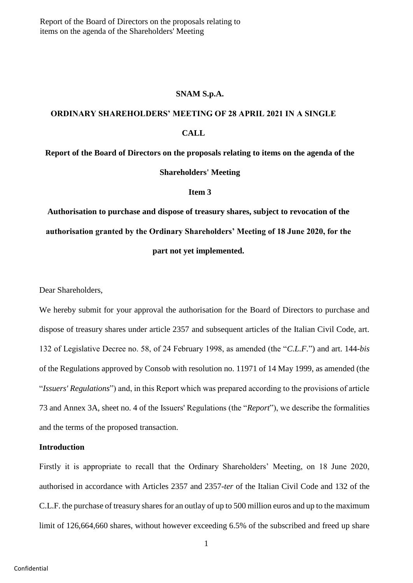Report of the Board of Directors on the proposals relating to items on the agenda of the Shareholders' Meeting

#### **SNAM S.p.A.**

# **ORDINARY SHAREHOLDERS' MEETING OF 28 APRIL 2021 IN A SINGLE CALL**

**Report of the Board of Directors on the proposals relating to items on the agenda of the Shareholders' Meeting**

#### **Item 3**

**Authorisation to purchase and dispose of treasury shares, subject to revocation of the authorisation granted by the Ordinary Shareholders' Meeting of 18 June 2020, for the part not yet implemented.**

Dear Shareholders,

We hereby submit for your approval the authorisation for the Board of Directors to purchase and dispose of treasury shares under article 2357 and subsequent articles of the Italian Civil Code, art. 132 of Legislative Decree no. 58, of 24 February 1998, as amended (the "*C.L.F.*") and art. 144-*bis* of the Regulations approved by Consob with resolution no. 11971 of 14 May 1999, as amended (the "*Issuers' Regulations*") and, in this Report which was prepared according to the provisions of article 73 and Annex 3A, sheet no. 4 of the Issuers' Regulations (the "*Report*"), we describe the formalities and the terms of the proposed transaction.

#### **Introduction**

Firstly it is appropriate to recall that the Ordinary Shareholders' Meeting, on 18 June 2020, authorised in accordance with Articles 2357 and 2357-*ter* of the Italian Civil Code and 132 of the C.L.F. the purchase of treasury shares for an outlay of up to 500 million euros and up to the maximum limit of 126,664,660 shares, without however exceeding 6.5% of the subscribed and freed up share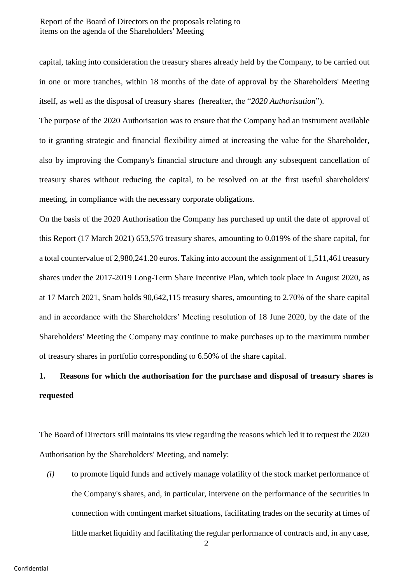### Report of the Board of Directors on the proposals relating to items on the agenda of the Shareholders' Meeting

capital, taking into consideration the treasury shares already held by the Company, to be carried out in one or more tranches, within 18 months of the date of approval by the Shareholders' Meeting itself, as well as the disposal of treasury shares (hereafter, the "*2020 Authorisation*").

The purpose of the 2020 Authorisation was to ensure that the Company had an instrument available to it granting strategic and financial flexibility aimed at increasing the value for the Shareholder, also by improving the Company's financial structure and through any subsequent cancellation of treasury shares without reducing the capital, to be resolved on at the first useful shareholders' meeting, in compliance with the necessary corporate obligations.

On the basis of the 2020 Authorisation the Company has purchased up until the date of approval of this Report (17 March 2021) 653,576 treasury shares, amounting to 0.019% of the share capital, for a total countervalue of 2,980,241.20 euros. Taking into account the assignment of 1,511,461 treasury shares under the 2017-2019 Long-Term Share Incentive Plan, which took place in August 2020, as at 17 March 2021, Snam holds 90,642,115 treasury shares, amounting to 2.70% of the share capital and in accordance with the Shareholders' Meeting resolution of 18 June 2020, by the date of the Shareholders' Meeting the Company may continue to make purchases up to the maximum number of treasury shares in portfolio corresponding to 6.50% of the share capital.

## **1. Reasons for which the authorisation for the purchase and disposal of treasury shares is requested**

The Board of Directors still maintains its view regarding the reasons which led it to request the 2020 Authorisation by the Shareholders' Meeting, and namely:

*(i)* to promote liquid funds and actively manage volatility of the stock market performance of the Company's shares, and, in particular, intervene on the performance of the securities in connection with contingent market situations, facilitating trades on the security at times of little market liquidity and facilitating the regular performance of contracts and, in any case,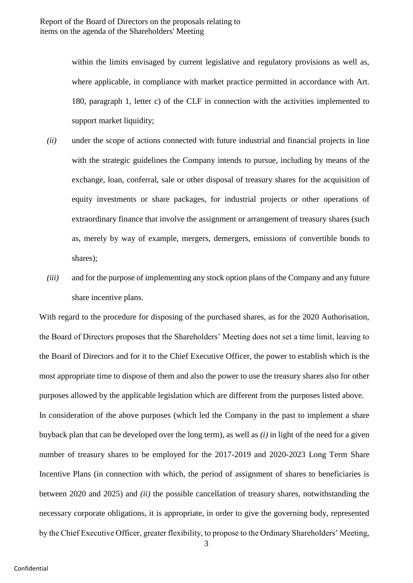within the limits envisaged by current legislative and regulatory provisions as well as, where applicable, in compliance with market practice permitted in accordance with Art. 180, paragraph 1, letter c) of the CLF in connection with the activities implemented to support market liquidity;

- *(ii)* under the scope of actions connected with future industrial and financial projects in line with the strategic guidelines the Company intends to pursue, including by means of the exchange, loan, conferral, sale or other disposal of treasury shares for the acquisition of equity investments or share packages, for industrial projects or other operations of extraordinary finance that involve the assignment or arrangement of treasury shares (such as, merely by way of example, mergers, demergers, emissions of convertible bonds to shares);
- *(iii)* and for the purpose of implementing any stock option plans of the Company and any future share incentive plans.

With regard to the procedure for disposing of the purchased shares, as for the 2020 Authorisation, the Board of Directors proposes that the Shareholders' Meeting does not set a time limit, leaving to the Board of Directors and for it to the Chief Executive Officer, the power to establish which is the most appropriate time to dispose of them and also the power to use the treasury shares also for other purposes allowed by the applicable legislation which are different from the purposes listed above. In consideration of the above purposes (which led the Company in the past to implement a share buyback plan that can be developed over the long term), as well as *(i)* in light of the need for a given number of treasury shares to be employed for the 2017-2019 and 2020-2023 Long Term Share Incentive Plans (in connection with which, the period of assignment of shares to beneficiaries is between 2020 and 2025) and *(ii)* the possible cancellation of treasury shares, notwithstanding the necessary corporate obligations, it is appropriate, in order to give the governing body, represented by the Chief Executive Officer, greater flexibility, to propose to the Ordinary Shareholders' Meeting,

3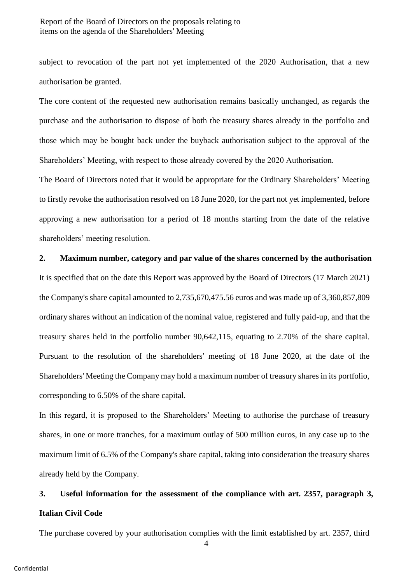### Report of the Board of Directors on the proposals relating to items on the agenda of the Shareholders' Meeting

subject to revocation of the part not yet implemented of the 2020 Authorisation, that a new authorisation be granted.

The core content of the requested new authorisation remains basically unchanged, as regards the purchase and the authorisation to dispose of both the treasury shares already in the portfolio and those which may be bought back under the buyback authorisation subject to the approval of the Shareholders' Meeting, with respect to those already covered by the 2020 Authorisation.

The Board of Directors noted that it would be appropriate for the Ordinary Shareholders' Meeting to firstly revoke the authorisation resolved on 18 June 2020, for the part not yet implemented, before approving a new authorisation for a period of 18 months starting from the date of the relative shareholders' meeting resolution.

### **2. Maximum number, category and par value of the shares concerned by the authorisation**

It is specified that on the date this Report was approved by the Board of Directors (17 March 2021) the Company's share capital amounted to 2,735,670,475.56 euros and was made up of 3,360,857,809 ordinary shares without an indication of the nominal value, registered and fully paid-up, and that the treasury shares held in the portfolio number 90,642,115, equating to 2.70% of the share capital. Pursuant to the resolution of the shareholders' meeting of 18 June 2020, at the date of the Shareholders' Meeting the Company may hold a maximum number of treasury shares in its portfolio, corresponding to 6.50% of the share capital.

In this regard, it is proposed to the Shareholders' Meeting to authorise the purchase of treasury shares, in one or more tranches, for a maximum outlay of 500 million euros, in any case up to the maximum limit of 6.5% of the Company's share capital, taking into consideration the treasury shares already held by the Company.

## **3. Useful information for the assessment of the compliance with art. 2357, paragraph 3, Italian Civil Code**

The purchase covered by your authorisation complies with the limit established by art. 2357, third

4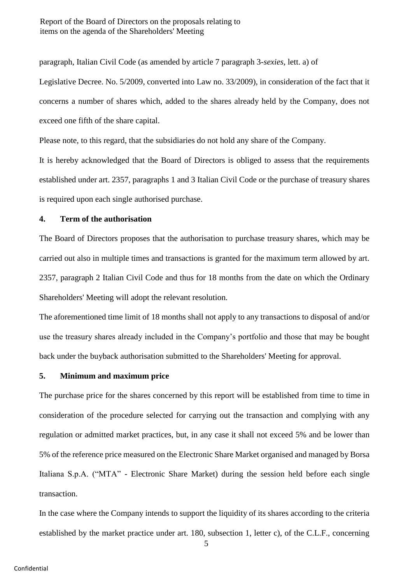paragraph, Italian Civil Code (as amended by article 7 paragraph 3-*sexies*, lett. a) of

Legislative Decree. No. 5/2009, converted into Law no. 33/2009), in consideration of the fact that it concerns a number of shares which, added to the shares already held by the Company, does not exceed one fifth of the share capital.

Please note, to this regard, that the subsidiaries do not hold any share of the Company.

It is hereby acknowledged that the Board of Directors is obliged to assess that the requirements established under art. 2357, paragraphs 1 and 3 Italian Civil Code or the purchase of treasury shares is required upon each single authorised purchase.

### **4. Term of the authorisation**

The Board of Directors proposes that the authorisation to purchase treasury shares, which may be carried out also in multiple times and transactions is granted for the maximum term allowed by art. 2357, paragraph 2 Italian Civil Code and thus for 18 months from the date on which the Ordinary Shareholders' Meeting will adopt the relevant resolution.

The aforementioned time limit of 18 months shall not apply to any transactions to disposal of and/or use the treasury shares already included in the Company's portfolio and those that may be bought back under the buyback authorisation submitted to the Shareholders' Meeting for approval.

## **5. Minimum and maximum price**

The purchase price for the shares concerned by this report will be established from time to time in consideration of the procedure selected for carrying out the transaction and complying with any regulation or admitted market practices, but, in any case it shall not exceed 5% and be lower than 5% of the reference price measured on the Electronic Share Market organised and managed by Borsa Italiana S.p.A. ("MTA" - Electronic Share Market) during the session held before each single transaction.

In the case where the Company intends to support the liquidity of its shares according to the criteria established by the market practice under art. 180, subsection 1, letter c), of the C.L.F., concerning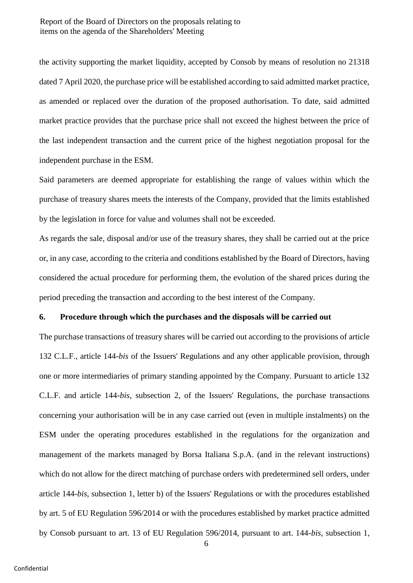the activity supporting the market liquidity, accepted by Consob by means of resolution no 21318 dated 7 April 2020, the purchase price will be established according to said admitted market practice, as amended or replaced over the duration of the proposed authorisation. To date, said admitted market practice provides that the purchase price shall not exceed the highest between the price of the last independent transaction and the current price of the highest negotiation proposal for the independent purchase in the ESM.

Said parameters are deemed appropriate for establishing the range of values within which the purchase of treasury shares meets the interests of the Company, provided that the limits established by the legislation in force for value and volumes shall not be exceeded.

As regards the sale, disposal and/or use of the treasury shares, they shall be carried out at the price or, in any case, according to the criteria and conditions established by the Board of Directors, having considered the actual procedure for performing them, the evolution of the shared prices during the period preceding the transaction and according to the best interest of the Company.

#### **6. Procedure through which the purchases and the disposals will be carried out**

The purchase transactions of treasury shares will be carried out according to the provisions of article 132 C.L.F., article 144-*bis* of the Issuers' Regulations and any other applicable provision, through one or more intermediaries of primary standing appointed by the Company. Pursuant to article 132 C.L.F. and article 144-*bis*, subsection 2, of the Issuers' Regulations, the purchase transactions concerning your authorisation will be in any case carried out (even in multiple instalments) on the ESM under the operating procedures established in the regulations for the organization and management of the markets managed by Borsa Italiana S.p.A. (and in the relevant instructions) which do not allow for the direct matching of purchase orders with predetermined sell orders, under article 144-*bis*, subsection 1, letter b) of the Issuers' Regulations or with the procedures established by art. 5 of EU Regulation 596/2014 or with the procedures established by market practice admitted by Consob pursuant to art. 13 of EU Regulation 596/2014, pursuant to art. 144-*bis*, subsection 1,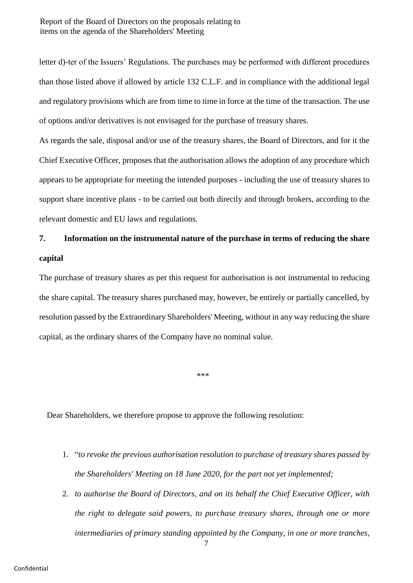letter d)-ter of the Issuers' Regulations. The purchases may be performed with different procedures than those listed above if allowed by article 132 C.L.F. and in compliance with the additional legal and regulatory provisions which are from time to time in force at the time of the transaction. The use of options and/or derivatives is not envisaged for the purchase of treasury shares.

As regards the sale, disposal and/or use of the treasury shares, the Board of Directors, and for it the Chief Executive Officer, proposes that the authorisation allows the adoption of any procedure which appears to be appropriate for meeting the intended purposes - including the use of treasury shares to support share incentive plans - to be carried out both directly and through brokers, according to the relevant domestic and EU laws and regulations.

## **7. Information on the instrumental nature of the purchase in terms of reducing the share capital**

The purchase of treasury shares as per this request for authorisation is not instrumental to reducing the share capital. The treasury shares purchased may, however, be entirely or partially cancelled, by resolution passed by the Extraordinary Shareholders' Meeting, without in any way reducing the share capital, as the ordinary shares of the Company have no nominal value.

\*\*\*

Dear Shareholders, we therefore propose to approve the following resolution:

- 1. "*to revoke the previous authorisation resolution to purchase of treasury shares passed by the Shareholders' Meeting on 18 June 2020, for the part not yet implemented;*
- 2. *to authorise the Board of Directors, and on its behalf the Chief Executive Officer, with the right to delegate said powers, to purchase treasury shares, through one or more intermediaries of primary standing appointed by the Company, in one or more tranches,*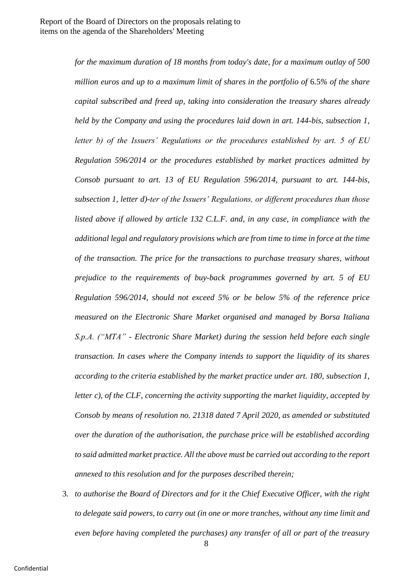*for the maximum duration of 18 months from today's date, for a maximum outlay of 500 million euros and up to a maximum limit of shares in the portfolio of* 6.5*% of the share capital subscribed and freed up, taking into consideration the treasury shares already held by the Company and using the procedures laid down in art. 144-bis, subsection 1, letter b) of the Issuers' Regulations or the procedures established by art. 5 of EU Regulation 596/2014 or the procedures established by market practices admitted by Consob pursuant to art. 13 of EU Regulation 596/2014, pursuant to art. 144-bis, subsection 1, letter d)-ter of the Issuers' Regulations, or different procedures than those listed above if allowed by article 132 C.L.F. and, in any case, in compliance with the additional legal and regulatory provisions which are from time to time in force at the time of the transaction. The price for the transactions to purchase treasury shares, without prejudice to the requirements of buy-back programmes governed by art. 5 of EU Regulation 596/2014, should not exceed 5% or be below 5% of the reference price measured on the Electronic Share Market organised and managed by Borsa Italiana S.p.A. ("MTA" - Electronic Share Market) during the session held before each single transaction. In cases where the Company intends to support the liquidity of its shares according to the criteria established by the market practice under art. 180, subsection 1, letter c), of the CLF, concerning the activity supporting the market liquidity, accepted by Consob by means of resolution no. 21318 dated 7 April 2020, as amended or substituted over the duration of the authorisation, the purchase price will be established according to said admitted market practice. All the above must be carried out according to the report annexed to this resolution and for the purposes described therein;*

3. *to authorise the Board of Directors and for it the Chief Executive Officer, with the right to delegate said powers, to carry out (in one or more tranches, without any time limit and even before having completed the purchases) any transfer of all or part of the treasury*